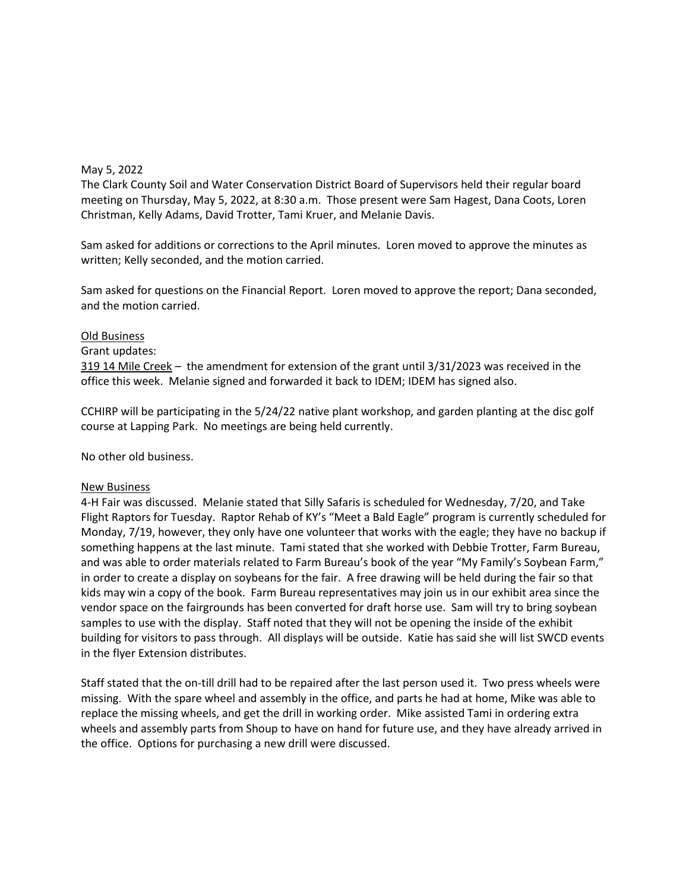## May 5, 2022

The Clark County Soil and Water Conservation District Board of Supervisors held their regular board meeting on Thursday, May 5, 2022, at 8:30 a.m. Those present were Sam Hagest, Dana Coots, Loren Christman, Kelly Adams, David Trotter, Tami Kruer, and Melanie Davis.

Sam asked for additions or corrections to the April minutes. Loren moved to approve the minutes as written; Kelly seconded, and the motion carried.

Sam asked for questions on the Financial Report. Loren moved to approve the report; Dana seconded, and the motion carried.

## Old Business

Grant updates:

319 14 Mile Creek – the amendment for extension of the grant until 3/31/2023 was received in the office this week. Melanie signed and forwarded it back to IDEM; IDEM has signed also.

CCHIRP will be participating in the 5/24/22 native plant workshop, and garden planting at the disc golf course at Lapping Park. No meetings are being held currently.

No other old business.

## New Business

4-H Fair was discussed. Melanie stated that Silly Safaris is scheduled for Wednesday, 7/20, and Take Flight Raptors for Tuesday. Raptor Rehab of KY's "Meet a Bald Eagle" program is currently scheduled for Monday, 7/19, however, they only have one volunteer that works with the eagle; they have no backup if something happens at the last minute. Tami stated that she worked with Debbie Trotter, Farm Bureau, and was able to order materials related to Farm Bureau's book of the year "My Family's Soybean Farm," in order to create a display on soybeans for the fair. A free drawing will be held during the fair so that kids may win a copy of the book. Farm Bureau representatives may join us in our exhibit area since the vendor space on the fairgrounds has been converted for draft horse use. Sam will try to bring soybean samples to use with the display. Staff noted that they will not be opening the inside of the exhibit building for visitors to pass through. All displays will be outside. Katie has said she will list SWCD events in the flyer Extension distributes.

Staff stated that the on-till drill had to be repaired after the last person used it. Two press wheels were missing. With the spare wheel and assembly in the office, and parts he had at home, Mike was able to replace the missing wheels, and get the drill in working order. Mike assisted Tami in ordering extra wheels and assembly parts from Shoup to have on hand for future use, and they have already arrived in the office. Options for purchasing a new drill were discussed.